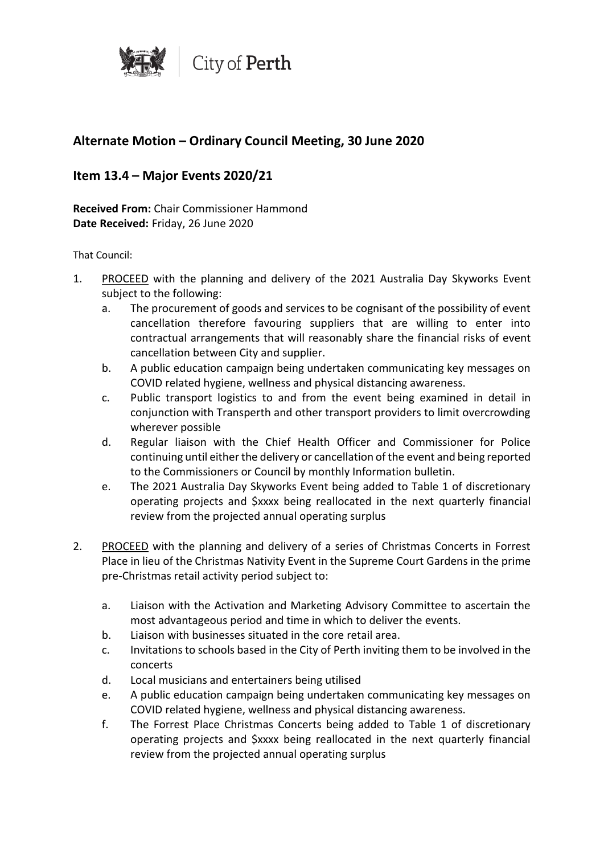

# **Alternate Motion – Ordinary Council Meeting, 30 June 2020**

# **Item 13.4 – Major Events 2020/21**

**Received From:** Chair Commissioner Hammond **Date Received:** Friday, 26 June 2020

#### That Council:

- 1. PROCEED with the planning and delivery of the 2021 Australia Day Skyworks Event subject to the following:
	- a. The procurement of goods and services to be cognisant of the possibility of event cancellation therefore favouring suppliers that are willing to enter into contractual arrangements that will reasonably share the financial risks of event cancellation between City and supplier.
	- b. A public education campaign being undertaken communicating key messages on COVID related hygiene, wellness and physical distancing awareness.
	- c. Public transport logistics to and from the event being examined in detail in conjunction with Transperth and other transport providers to limit overcrowding wherever possible
	- d. Regular liaison with the Chief Health Officer and Commissioner for Police continuing until either the delivery or cancellation of the event and being reported to the Commissioners or Council by monthly Information bulletin.
	- e. The 2021 Australia Day Skyworks Event being added to Table 1 of discretionary operating projects and \$xxxx being reallocated in the next quarterly financial review from the projected annual operating surplus
- 2. PROCEED with the planning and delivery of a series of Christmas Concerts in Forrest Place in lieu of the Christmas Nativity Event in the Supreme Court Gardens in the prime pre-Christmas retail activity period subject to:
	- a. Liaison with the Activation and Marketing Advisory Committee to ascertain the most advantageous period and time in which to deliver the events.
	- b. Liaison with businesses situated in the core retail area.
	- c. Invitations to schools based in the City of Perth inviting them to be involved in the concerts
	- d. Local musicians and entertainers being utilised
	- e. A public education campaign being undertaken communicating key messages on COVID related hygiene, wellness and physical distancing awareness.
	- f. The Forrest Place Christmas Concerts being added to Table 1 of discretionary operating projects and \$xxxx being reallocated in the next quarterly financial review from the projected annual operating surplus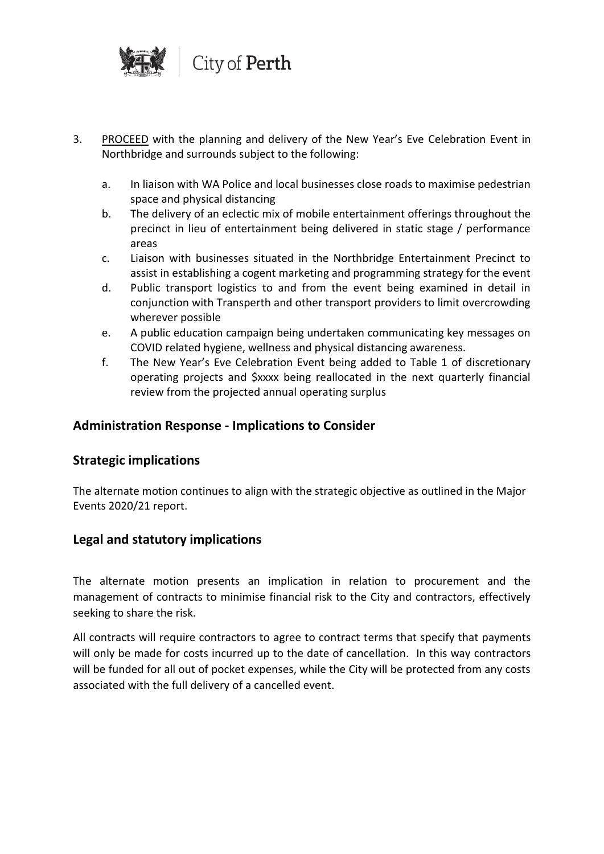

- 3. PROCEED with the planning and delivery of the New Year's Eve Celebration Event in Northbridge and surrounds subject to the following:
	- a. In liaison with WA Police and local businesses close roads to maximise pedestrian space and physical distancing
	- b. The delivery of an eclectic mix of mobile entertainment offerings throughout the precinct in lieu of entertainment being delivered in static stage / performance areas
	- c. Liaison with businesses situated in the Northbridge Entertainment Precinct to assist in establishing a cogent marketing and programming strategy for the event
	- d. Public transport logistics to and from the event being examined in detail in conjunction with Transperth and other transport providers to limit overcrowding wherever possible
	- e. A public education campaign being undertaken communicating key messages on COVID related hygiene, wellness and physical distancing awareness.
	- f. The New Year's Eve Celebration Event being added to Table 1 of discretionary operating projects and \$xxxx being reallocated in the next quarterly financial review from the projected annual operating surplus

# **Administration Response - Implications to Consider**

# **Strategic implications**

The alternate motion continues to align with the strategic objective as outlined in the Major Events 2020/21 report.

# **Legal and statutory implications**

The alternate motion presents an implication in relation to procurement and the management of contracts to minimise financial risk to the City and contractors, effectively seeking to share the risk.

All contracts will require contractors to agree to contract terms that specify that payments will only be made for costs incurred up to the date of cancellation. In this way contractors will be funded for all out of pocket expenses, while the City will be protected from any costs associated with the full delivery of a cancelled event.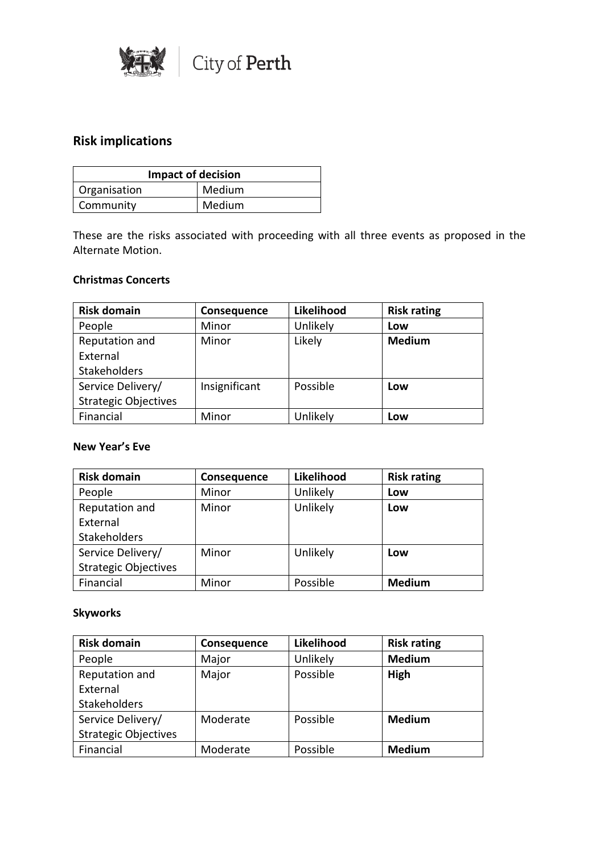

# **Risk implications**

| <b>Impact of decision</b> |        |
|---------------------------|--------|
| Organisation              | Medium |
| Community                 | Medium |

These are the risks associated with proceeding with all three events as proposed in the Alternate Motion.

#### **Christmas Concerts**

| <b>Risk domain</b>          | Consequence   | Likelihood | <b>Risk rating</b> |
|-----------------------------|---------------|------------|--------------------|
| People                      | Minor         | Unlikely   | Low                |
| Reputation and              | Minor         | Likely     | <b>Medium</b>      |
| External                    |               |            |                    |
| Stakeholders                |               |            |                    |
| Service Delivery/           | Insignificant | Possible   | Low                |
| <b>Strategic Objectives</b> |               |            |                    |
| Financial                   | Minor         | Unlikely   | Low                |

### **New Year's Eve**

| <b>Risk domain</b>          | Consequence | Likelihood | <b>Risk rating</b> |
|-----------------------------|-------------|------------|--------------------|
| People                      | Minor       | Unlikely   | Low                |
| Reputation and              | Minor       | Unlikely   | Low                |
| External                    |             |            |                    |
| <b>Stakeholders</b>         |             |            |                    |
| Service Delivery/           | Minor       | Unlikely   | Low                |
| <b>Strategic Objectives</b> |             |            |                    |
| Financial                   | Minor       | Possible   | <b>Medium</b>      |

### **Skyworks**

| <b>Risk domain</b>          | Consequence | Likelihood | <b>Risk rating</b> |
|-----------------------------|-------------|------------|--------------------|
| People                      | Major       | Unlikely   | <b>Medium</b>      |
| Reputation and              | Major       | Possible   | High               |
| External                    |             |            |                    |
| <b>Stakeholders</b>         |             |            |                    |
| Service Delivery/           | Moderate    | Possible   | <b>Medium</b>      |
| <b>Strategic Objectives</b> |             |            |                    |
| Financial                   | Moderate    | Possible   | <b>Medium</b>      |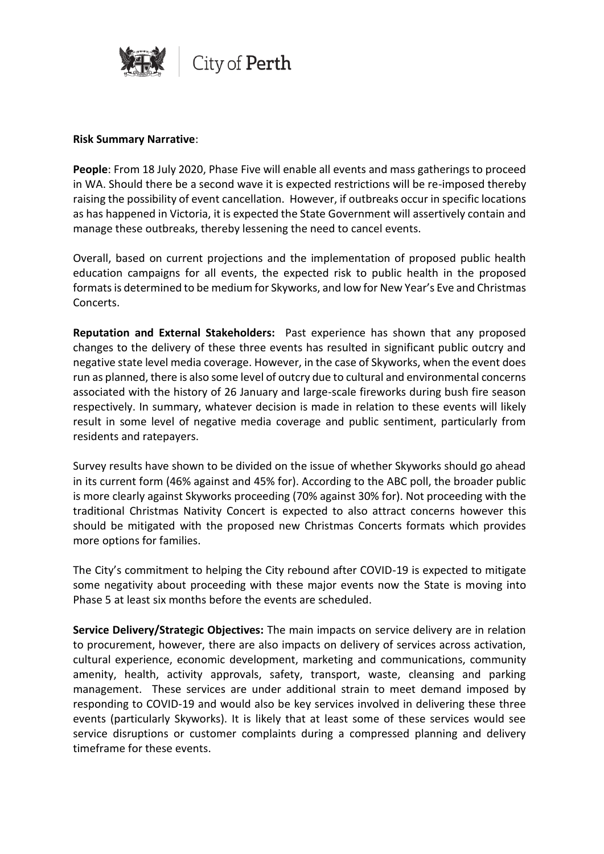

#### **Risk Summary Narrative**:

**People**: From 18 July 2020, Phase Five will enable all events and mass gatherings to proceed in WA. Should there be a second wave it is expected restrictions will be re-imposed thereby raising the possibility of event cancellation. However, if outbreaks occur in specific locations as has happened in Victoria, it is expected the State Government will assertively contain and manage these outbreaks, thereby lessening the need to cancel events.

Overall, based on current projections and the implementation of proposed public health education campaigns for all events, the expected risk to public health in the proposed formats is determined to be medium for Skyworks, and low for New Year's Eve and Christmas Concerts.

**Reputation and External Stakeholders:** Past experience has shown that any proposed changes to the delivery of these three events has resulted in significant public outcry and negative state level media coverage. However, in the case of Skyworks, when the event does run as planned, there is also some level of outcry due to cultural and environmental concerns associated with the history of 26 January and large-scale fireworks during bush fire season respectively. In summary, whatever decision is made in relation to these events will likely result in some level of negative media coverage and public sentiment, particularly from residents and ratepayers.

Survey results have shown to be divided on the issue of whether Skyworks should go ahead in its current form (46% against and 45% for). According to the ABC poll, the broader public is more clearly against Skyworks proceeding (70% against 30% for). Not proceeding with the traditional Christmas Nativity Concert is expected to also attract concerns however this should be mitigated with the proposed new Christmas Concerts formats which provides more options for families.

The City's commitment to helping the City rebound after COVID-19 is expected to mitigate some negativity about proceeding with these major events now the State is moving into Phase 5 at least six months before the events are scheduled.

**Service Delivery/Strategic Objectives:** The main impacts on service delivery are in relation to procurement, however, there are also impacts on delivery of services across activation, cultural experience, economic development, marketing and communications, community amenity, health, activity approvals, safety, transport, waste, cleansing and parking management. These services are under additional strain to meet demand imposed by responding to COVID-19 and would also be key services involved in delivering these three events (particularly Skyworks). It is likely that at least some of these services would see service disruptions or customer complaints during a compressed planning and delivery timeframe for these events.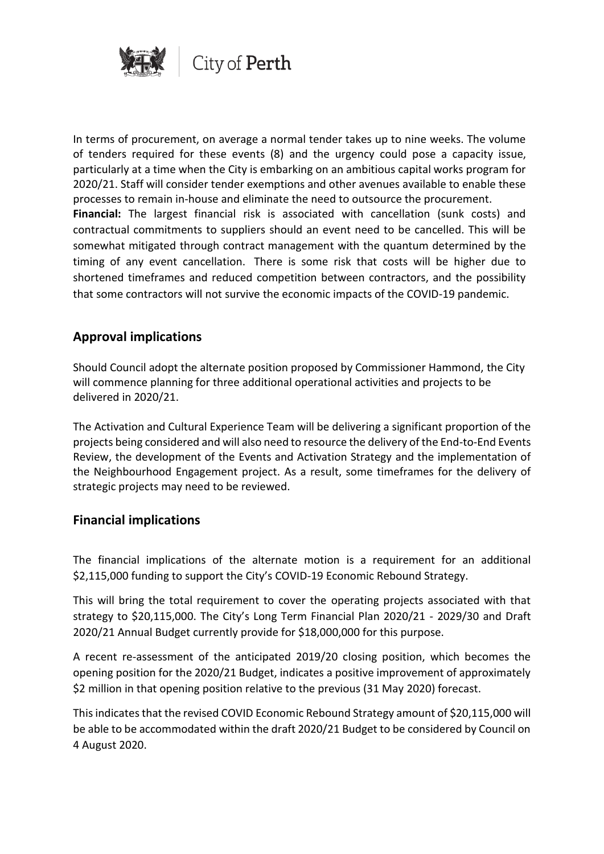

In terms of procurement, on average a normal tender takes up to nine weeks. The volume of tenders required for these events (8) and the urgency could pose a capacity issue, particularly at a time when the City is embarking on an ambitious capital works program for 2020/21. Staff will consider tender exemptions and other avenues available to enable these processes to remain in-house and eliminate the need to outsource the procurement. **Financial:** The largest financial risk is associated with cancellation (sunk costs) and contractual commitments to suppliers should an event need to be cancelled. This will be somewhat mitigated through contract management with the quantum determined by the timing of any event cancellation. There is some risk that costs will be higher due to shortened timeframes and reduced competition between contractors, and the possibility that some contractors will not survive the economic impacts of the COVID-19 pandemic.

# **Approval implications**

Should Council adopt the alternate position proposed by Commissioner Hammond, the City will commence planning for three additional operational activities and projects to be delivered in 2020/21.

The Activation and Cultural Experience Team will be delivering a significant proportion of the projects being considered and will also need to resource the delivery of the End-to-End Events Review, the development of the Events and Activation Strategy and the implementation of the Neighbourhood Engagement project. As a result, some timeframes for the delivery of strategic projects may need to be reviewed.

### **Financial implications**

The financial implications of the alternate motion is a requirement for an additional \$2,115,000 funding to support the City's COVID-19 Economic Rebound Strategy.

This will bring the total requirement to cover the operating projects associated with that strategy to \$20,115,000. The City's Long Term Financial Plan 2020/21 - 2029/30 and Draft 2020/21 Annual Budget currently provide for \$18,000,000 for this purpose.

A recent re-assessment of the anticipated 2019/20 closing position, which becomes the opening position for the 2020/21 Budget, indicates a positive improvement of approximately \$2 million in that opening position relative to the previous (31 May 2020) forecast.

This indicates that the revised COVID Economic Rebound Strategy amount of \$20,115,000 will be able to be accommodated within the draft 2020/21 Budget to be considered by Council on 4 August 2020.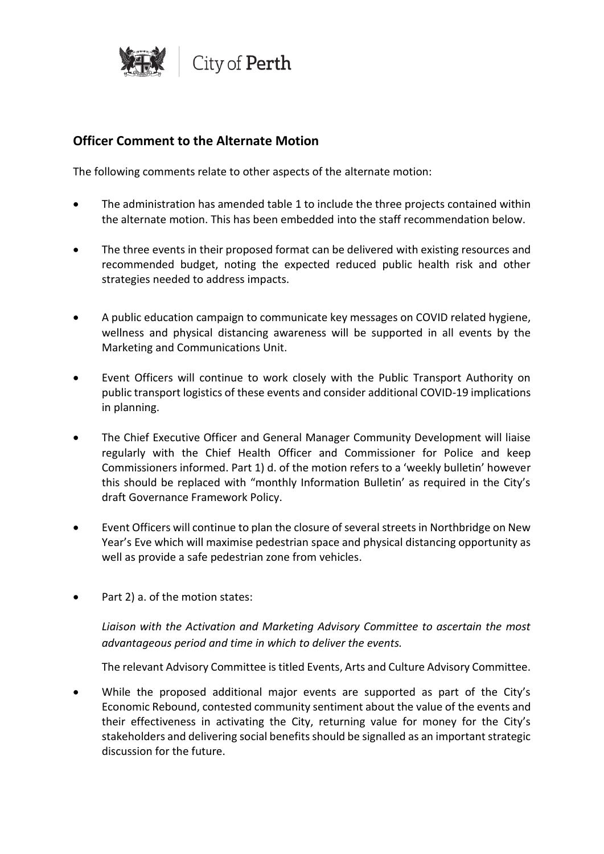

# **Officer Comment to the Alternate Motion**

The following comments relate to other aspects of the alternate motion:

- The administration has amended table 1 to include the three projects contained within the alternate motion. This has been embedded into the staff recommendation below.
- The three events in their proposed format can be delivered with existing resources and recommended budget, noting the expected reduced public health risk and other strategies needed to address impacts.
- A public education campaign to communicate key messages on COVID related hygiene, wellness and physical distancing awareness will be supported in all events by the Marketing and Communications Unit.
- Event Officers will continue to work closely with the Public Transport Authority on public transport logistics of these events and consider additional COVID-19 implications in planning.
- The Chief Executive Officer and General Manager Community Development will liaise regularly with the Chief Health Officer and Commissioner for Police and keep Commissioners informed. Part 1) d. of the motion refers to a 'weekly bulletin' however this should be replaced with "monthly Information Bulletin' as required in the City's draft Governance Framework Policy.
- Event Officers will continue to plan the closure of several streets in Northbridge on New Year's Eve which will maximise pedestrian space and physical distancing opportunity as well as provide a safe pedestrian zone from vehicles.
- Part 2) a. of the motion states:

*Liaison with the Activation and Marketing Advisory Committee to ascertain the most advantageous period and time in which to deliver the events.*

The relevant Advisory Committee is titled Events, Arts and Culture Advisory Committee.

• While the proposed additional major events are supported as part of the City's Economic Rebound, contested community sentiment about the value of the events and their effectiveness in activating the City, returning value for money for the City's stakeholders and delivering social benefits should be signalled as an important strategic discussion for the future.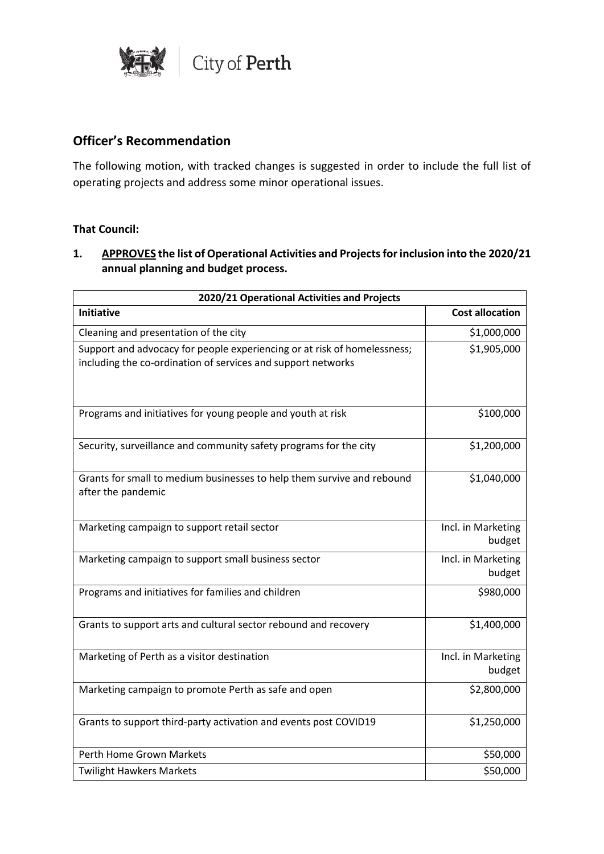

# **Officer's Recommendation**

The following motion, with tracked changes is suggested in order to include the full list of operating projects and address some minor operational issues.

### **That Council:**

## **1. APPROVES the list of Operational Activities and Projects for inclusion into the 2020/21 annual planning and budget process.**

| 2020/21 Operational Activities and Projects                                                                                              |                              |  |
|------------------------------------------------------------------------------------------------------------------------------------------|------------------------------|--|
| <b>Initiative</b>                                                                                                                        | <b>Cost allocation</b>       |  |
| Cleaning and presentation of the city                                                                                                    | \$1,000,000                  |  |
| Support and advocacy for people experiencing or at risk of homelessness;<br>including the co-ordination of services and support networks | \$1,905,000                  |  |
| Programs and initiatives for young people and youth at risk                                                                              | \$100,000                    |  |
| Security, surveillance and community safety programs for the city                                                                        | \$1,200,000                  |  |
| Grants for small to medium businesses to help them survive and rebound<br>after the pandemic                                             | \$1,040,000                  |  |
| Marketing campaign to support retail sector                                                                                              | Incl. in Marketing<br>budget |  |
| Marketing campaign to support small business sector                                                                                      | Incl. in Marketing<br>budget |  |
| Programs and initiatives for families and children                                                                                       | \$980,000                    |  |
| Grants to support arts and cultural sector rebound and recovery                                                                          | \$1,400,000                  |  |
| Marketing of Perth as a visitor destination                                                                                              | Incl. in Marketing<br>budget |  |
| Marketing campaign to promote Perth as safe and open                                                                                     | \$2,800,000                  |  |
| Grants to support third-party activation and events post COVID19                                                                         | \$1,250,000                  |  |
| Perth Home Grown Markets                                                                                                                 | \$50,000                     |  |
| <b>Twilight Hawkers Markets</b>                                                                                                          | \$50,000                     |  |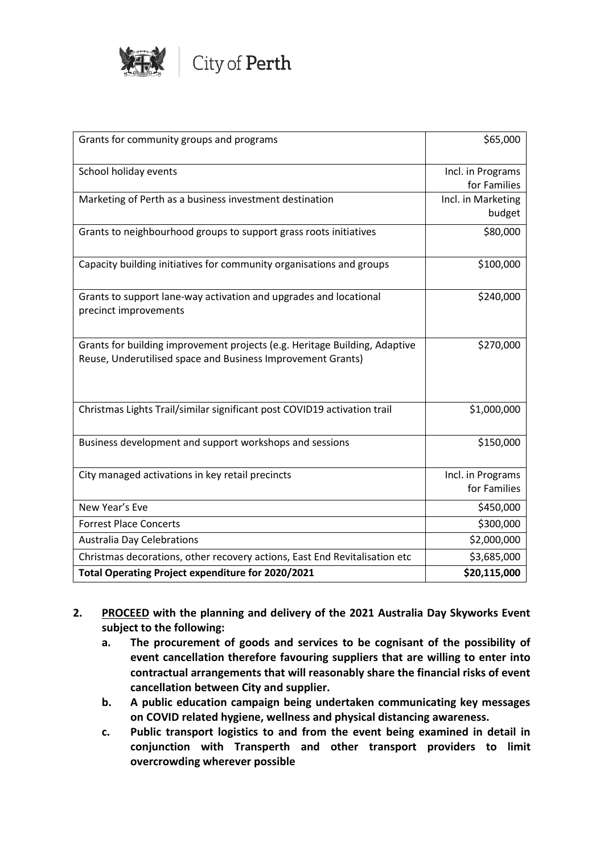

| Grants for community groups and programs                                                   | \$65,000                           |
|--------------------------------------------------------------------------------------------|------------------------------------|
|                                                                                            |                                    |
| School holiday events                                                                      | Incl. in Programs                  |
| Marketing of Perth as a business investment destination                                    | for Families<br>Incl. in Marketing |
|                                                                                            | budget                             |
|                                                                                            |                                    |
| Grants to neighbourhood groups to support grass roots initiatives                          | \$80,000                           |
| Capacity building initiatives for community organisations and groups                       | \$100,000                          |
|                                                                                            |                                    |
| Grants to support lane-way activation and upgrades and locational<br>precinct improvements | \$240,000                          |
| Grants for building improvement projects (e.g. Heritage Building, Adaptive                 | \$270,000                          |
| Reuse, Underutilised space and Business Improvement Grants)                                |                                    |
| Christmas Lights Trail/similar significant post COVID19 activation trail                   | \$1,000,000                        |
| Business development and support workshops and sessions                                    | \$150,000                          |
| City managed activations in key retail precincts                                           | Incl. in Programs                  |
|                                                                                            | for Families                       |
| New Year's Eve                                                                             | \$450,000                          |
| <b>Forrest Place Concerts</b>                                                              | \$300,000                          |
| <b>Australia Day Celebrations</b>                                                          | \$2,000,000                        |
| Christmas decorations, other recovery actions, East End Revitalisation etc                 | \$3,685,000                        |
| Total Operating Project expenditure for 2020/2021                                          | \$20,115,000                       |

- **2. PROCEED with the planning and delivery of the 2021 Australia Day Skyworks Event subject to the following:**
	- **a. The procurement of goods and services to be cognisant of the possibility of event cancellation therefore favouring suppliers that are willing to enter into contractual arrangements that will reasonably share the financial risks of event cancellation between City and supplier.**
	- **b. A public education campaign being undertaken communicating key messages on COVID related hygiene, wellness and physical distancing awareness.**
	- **c. Public transport logistics to and from the event being examined in detail in conjunction with Transperth and other transport providers to limit overcrowding wherever possible**